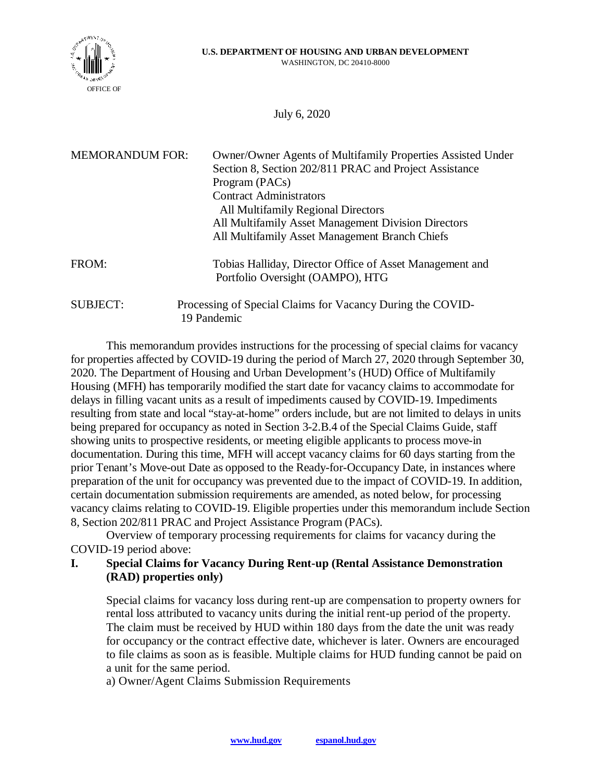

July 6, 2020

| <b>MEMORANDUM FOR:</b> | Owner/Owner Agents of Multifamily Properties Assisted Under<br>Section 8, Section 202/811 PRAC and Project Assistance<br>Program (PACs)<br><b>Contract Administrators</b><br>All Multifamily Regional Directors<br>All Multifamily Asset Management Division Directors<br>All Multifamily Asset Management Branch Chiefs |
|------------------------|--------------------------------------------------------------------------------------------------------------------------------------------------------------------------------------------------------------------------------------------------------------------------------------------------------------------------|
| FROM:                  | Tobias Halliday, Director Office of Asset Management and<br>Portfolio Oversight (OAMPO), HTG                                                                                                                                                                                                                             |
| <b>SUBJECT:</b>        | Processing of Special Claims for Vacancy During the COVID-<br>19 Pandemic                                                                                                                                                                                                                                                |

This memorandum provides instructions for the processing of special claims for vacancy for properties affected by COVID-19 during the period of March 27, 2020 through September 30, 2020. The Department of Housing and Urban Development's (HUD) Office of Multifamily Housing (MFH) has temporarily modified the start date for vacancy claims to accommodate for delays in filling vacant units as a result of impediments caused by COVID-19. Impediments resulting from state and local "stay-at-home" orders include, but are not limited to delays in units being prepared for occupancy as noted in Section 3-2.B.4 of the Special Claims Guide, staff showing units to prospective residents, or meeting eligible applicants to process move-in documentation. During this time, MFH will accept vacancy claims for 60 days starting from the prior Tenant's Move-out Date as opposed to the Ready-for-Occupancy Date, in instances where preparation of the unit for occupancy was prevented due to the impact of COVID-19. In addition, certain documentation submission requirements are amended, as noted below, for processing vacancy claims relating to COVID-19. Eligible properties under this memorandum include Section 8, Section 202/811 PRAC and Project Assistance Program (PACs).

Overview of temporary processing requirements for claims for vacancy during the COVID-19 period above:

## **I. Special Claims for Vacancy During Rent-up (Rental Assistance Demonstration (RAD) properties only)**

Special claims for vacancy loss during rent-up are compensation to property owners for rental loss attributed to vacancy units during the initial rent-up period of the property. The claim must be received by HUD within 180 days from the date the unit was ready for occupancy or the contract effective date, whichever is later. Owners are encouraged to file claims as soon as is feasible. Multiple claims for HUD funding cannot be paid on a unit for the same period.

a) Owner/Agent Claims Submission Requirements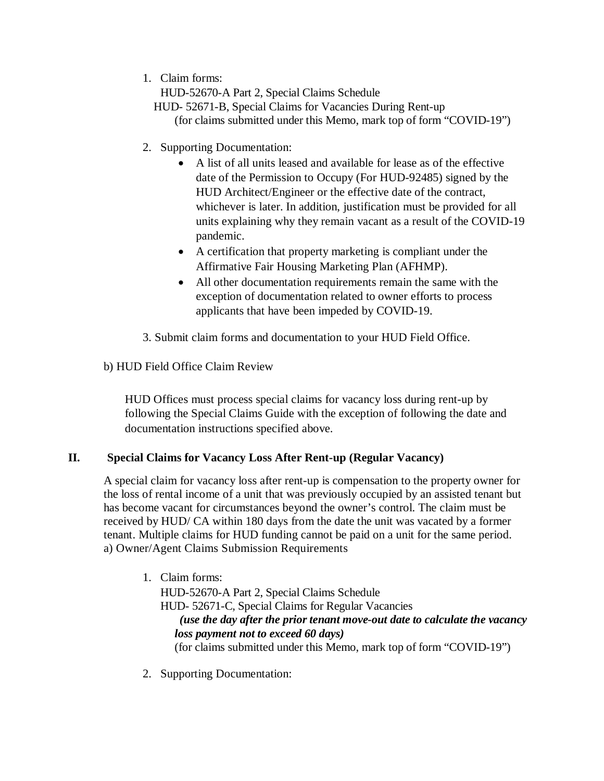1. Claim forms:

HUD-52670-A Part 2, Special Claims Schedule

- HUD- 52671-B, Special Claims for Vacancies During Rent-up (for claims submitted under this Memo, mark top of form "COVID-19")
- 2. Supporting Documentation:
	- � A list of all units leased and available for lease as of the effective date of the Permission to Occupy (For HUD-92485) signed by the HUD Architect/Engineer or the effective date of the contract, whichever is later. In addition, justification must be provided for all units explaining why they remain vacant as a result of the COVID-19 pandemic.
	- � A certification that property marketing is compliant under the Affirmative Fair Housing Marketing Plan (AFHMP).
	- � All other documentation requirements remain the same with the exception of documentation related to owner efforts to process applicants that have been impeded by COVID-19.
- 3. Submit claim forms and documentation to your HUD Field Office.

## b) HUD Field Office Claim Review

HUD Offices must process special claims for vacancy loss during rent-up by following the Special Claims Guide with the exception of following the date and documentation instructions specified above.

## **II. Special Claims for Vacancy Loss After Rent-up (Regular Vacancy)**

A special claim for vacancy loss after rent-up is compensation to the property owner for the loss of rental income of a unit that was previously occupied by an assisted tenant but has become vacant for circumstances beyond the owner's control. The claim must be received by HUD/ CA within 180 days from the date the unit was vacated by a former tenant. Multiple claims for HUD funding cannot be paid on a unit for the same period. a) Owner/Agent Claims Submission Requirements

- 1. Claim forms: HUD-52670-A Part 2, Special Claims Schedule HUD- 52671-C, Special Claims for Regular Vacancies *(use the day after the prior tenant move-out date to calculate the vacancy loss payment not to exceed 60 days)*  (for claims submitted under this Memo, mark top of form "COVID-19")
- 2. Supporting Documentation: